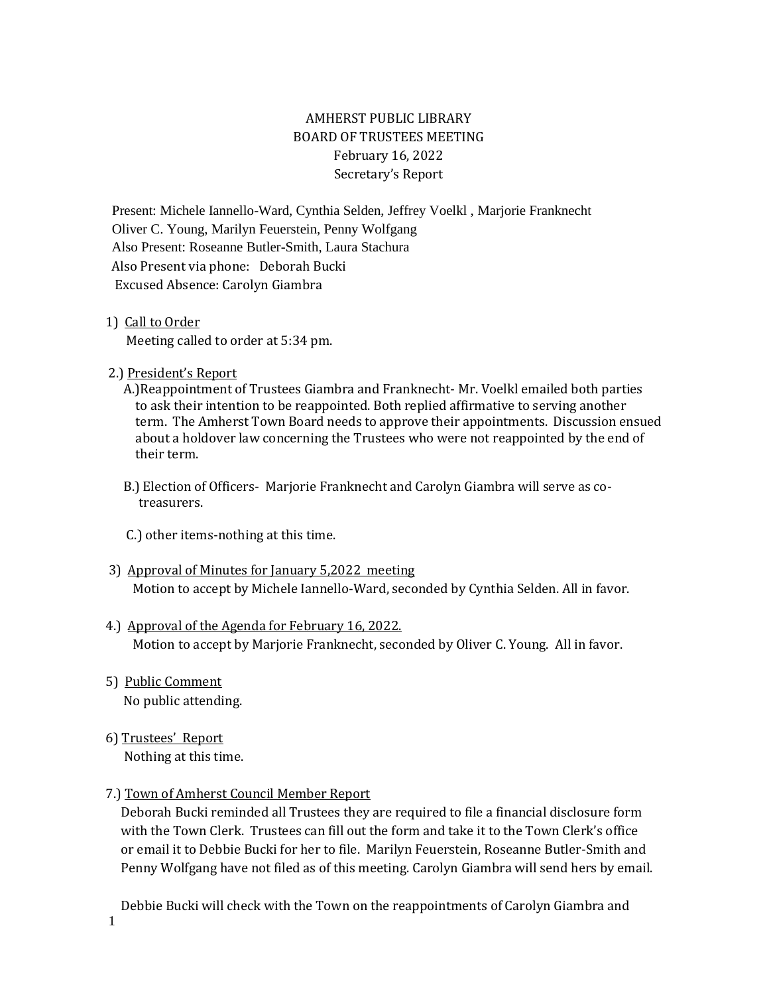# AMHERST PUBLIC LIBRARY BOARD OF TRUSTEES MEETING February 16, 2022 Secretary's Report

Present: Michele Iannello-Ward, Cynthia Selden, Jeffrey Voelkl , Marjorie Franknecht Oliver C. Young, Marilyn Feuerstein, Penny Wolfgang Also Present: Roseanne Butler-Smith, Laura Stachura Also Present via phone: Deborah Bucki Excused Absence: Carolyn Giambra

#### 1) Call to Order

Meeting called to order at 5:34 pm.

2.) President's Report

 A.)Reappointment of Trustees Giambra and Franknecht- Mr. Voelkl emailed both parties to ask their intention to be reappointed. Both replied affirmative to serving another term. The Amherst Town Board needs to approve their appointments. Discussion ensued about a holdover law concerning the Trustees who were not reappointed by the end of their term.

 B.) Election of Officers- Marjorie Franknecht and Carolyn Giambra will serve as co treasurers.

C.) other items-nothing at this time.

- 3) Approval of Minutes for January 5,2022 meeting Motion to accept by Michele Iannello-Ward, seconded by Cynthia Selden. All in favor.
- 4.) Approval of the Agenda for February 16, 2022. Motion to accept by Marjorie Franknecht, seconded by Oliver C. Young. All in favor.
- 5) Public Comment No public attending.
- 6) Trustees' Report Nothing at this time.

# 7.) Town of Amherst Council Member Report

 Deborah Bucki reminded all Trustees they are required to file a financial disclosure form with the Town Clerk. Trustees can fill out the form and take it to the Town Clerk's office or email it to Debbie Bucki for her to file. Marilyn Feuerstein, Roseanne Butler-Smith and Penny Wolfgang have not filed as of this meeting. Carolyn Giambra will send hers by email.

Debbie Bucki will check with the Town on the reappointments of Carolyn Giambra and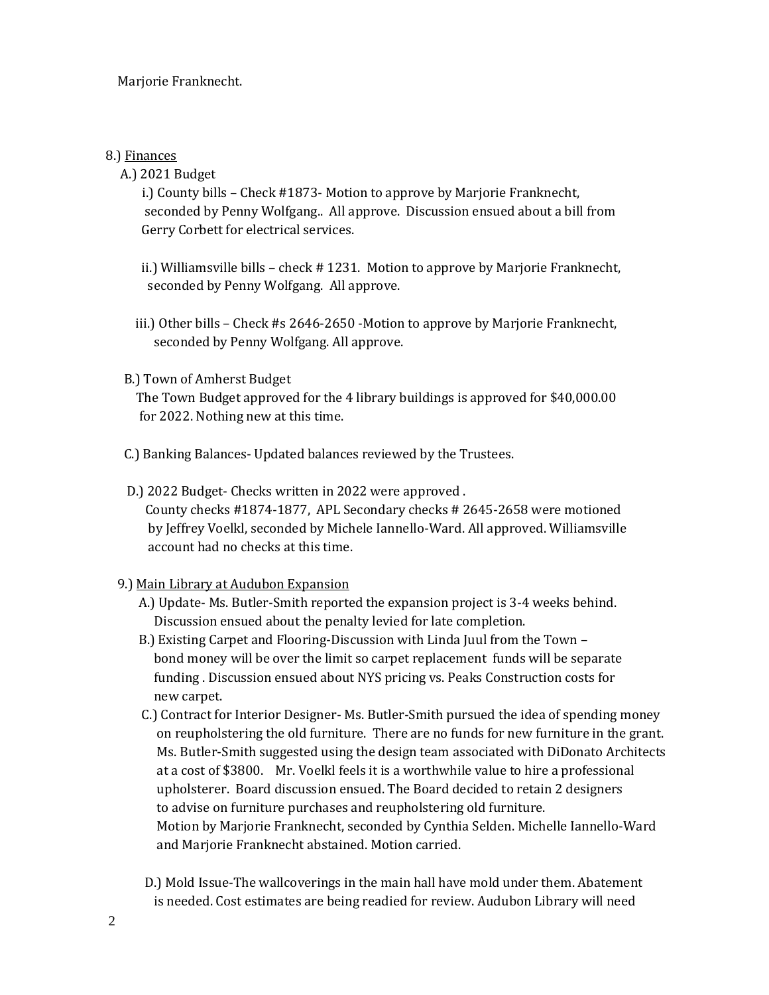## 8.) Finances

A.) 2021 Budget

 i.) County bills – Check #1873- Motion to approve by Marjorie Franknecht, seconded by Penny Wolfgang.. All approve. Discussion ensued about a bill from Gerry Corbett for electrical services.

 ii.) Williamsville bills – check # 1231. Motion to approve by Marjorie Franknecht, seconded by Penny Wolfgang. All approve.

 iii.) Other bills – Check #s 2646-2650 -Motion to approve by Marjorie Franknecht, seconded by Penny Wolfgang. All approve.

#### B.) Town of Amherst Budget

 The Town Budget approved for the 4 library buildings is approved for \$40,000.00 for 2022. Nothing new at this time.

C.) Banking Balances- Updated balances reviewed by the Trustees.

 D.) 2022 Budget- Checks written in 2022 were approved . County checks #1874-1877, APL Secondary checks # 2645-2658 were motioned by Jeffrey Voelkl, seconded by Michele Iannello-Ward. All approved. Williamsville account had no checks at this time.

# 9.) Main Library at Audubon Expansion

- A.) Update- Ms. Butler-Smith reported the expansion project is 3-4 weeks behind. Discussion ensued about the penalty levied for late completion.
- B.) Existing Carpet and Flooring-Discussion with Linda Juul from the Town bond money will be over the limit so carpet replacement funds will be separate funding . Discussion ensued about NYS pricing vs. Peaks Construction costs for new carpet.
- C.) Contract for Interior Designer- Ms. Butler-Smith pursued the idea of spending money on reupholstering the old furniture. There are no funds for new furniture in the grant. Ms. Butler-Smith suggested using the design team associated with DiDonato Architects at a cost of \$3800. Mr. Voelkl feels it is a worthwhile value to hire a professional upholsterer. Board discussion ensued. The Board decided to retain 2 designers to advise on furniture purchases and reupholstering old furniture. Motion by Marjorie Franknecht, seconded by Cynthia Selden. Michelle Iannello-Ward and Marjorie Franknecht abstained. Motion carried.
- D.) Mold Issue-The wallcoverings in the main hall have mold under them. Abatement is needed. Cost estimates are being readied for review. Audubon Library will need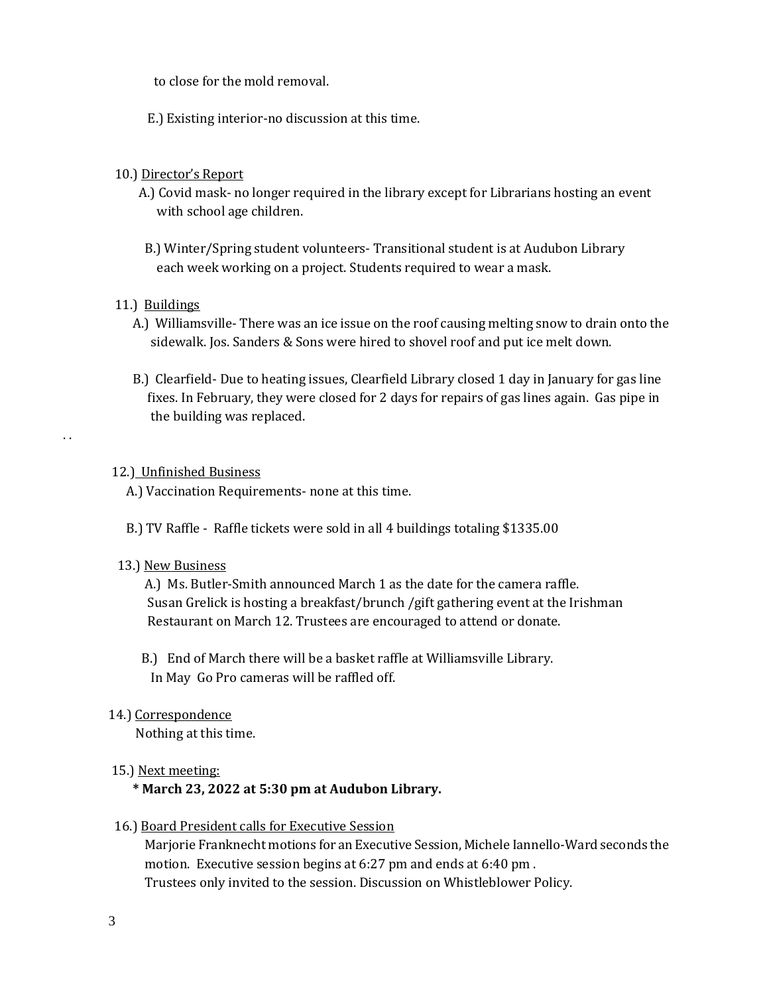to close for the mold removal.

E.) Existing interior-no discussion at this time.

## 10.) Director's Report

- A.) Covid mask- no longer required in the library except for Librarians hosting an event with school age children.
- B.) Winter/Spring student volunteers- Transitional student is at Audubon Library each week working on a project. Students required to wear a mask.

#### 11.) Buildings

. .

- A.) Williamsville- There was an ice issue on the roof causing melting snow to drain onto the sidewalk. Jos. Sanders & Sons were hired to shovel roof and put ice melt down.
- B.) Clearfield- Due to heating issues, Clearfield Library closed 1 day in January for gas line fixes. In February, they were closed for 2 days for repairs of gas lines again. Gas pipe in the building was replaced.

#### 12.) Unfinished Business

- A.) Vaccination Requirements- none at this time.
- B.) TV Raffle Raffle tickets were sold in all 4 buildings totaling \$1335.00

#### 13.) New Business

 A.) Ms. Butler-Smith announced March 1 as the date for the camera raffle. Susan Grelick is hosting a breakfast/brunch /gift gathering event at the Irishman Restaurant on March 12. Trustees are encouraged to attend or donate.

 B.) End of March there will be a basket raffle at Williamsville Library. In May Go Pro cameras will be raffled off.

# 14.) Correspondence

Nothing at this time.

# 15.) Next meeting:

# **\* March 23, 2022 at 5:30 pm at Audubon Library.**

16.) Board President calls for Executive Session

 Marjorie Franknecht motions for an Executive Session, Michele Iannello-Ward seconds the motion. Executive session begins at 6:27 pm and ends at 6:40 pm . Trustees only invited to the session. Discussion on Whistleblower Policy.